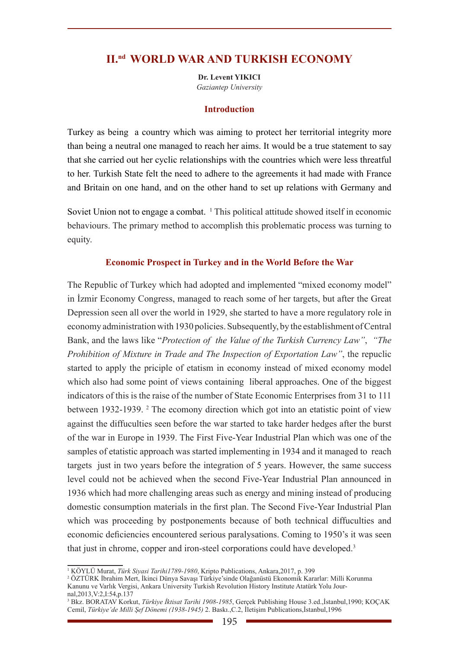# **II.nd WORLD WAR AND TURKISH ECONOMY**

**Dr. Levent YIKICI** *Gaziantep University*

#### **Introduction**

Turkey as being a country which was aiming to protect her territorial integrity more than being a neutral one managed to reach her aims. It would be a true statement to say that she carried out her cyclic relationships with the countries which were less threatful to her. Turkish State felt the need to adhere to the agreements it had made with France and Britain on one hand, and on the other hand to set up relations with Germany and

Soviet Union not to engage a combat. <sup>1</sup> This political attitude showed itself in economic behaviours. The primary method to accomplish this problematic process was turning to equity.

## **Economic Prospect in Turkey and in the World Before the War**

The Republic of Turkey which had adopted and implemented "mixed economy model" in İzmir Economy Congress, managed to reach some of her targets, but after the Great Depression seen all over the world in 1929, she started to have a more regulatory role in economy administration with 1930 policies. Subsequently, by the establishment of Central Bank, and the laws like "*Protection of the Value of the Turkish Currency Law"*, *"The Prohibition of Mixture in Trade and The Inspection of Exportation Law"*, the repuclic started to apply the priciple of etatism in economy instead of mixed economy model which also had some point of views containing liberal approaches. One of the biggest indicators of this is the raise of the number of State Economic Enterprises from 31 to 111 between 1932-1939. <sup>2</sup> The ecomony direction which got into an etatistic point of view against the diffuculties seen before the war started to take harder hedges after the burst of the war in Europe in 1939. The First Five-Year Industrial Plan which was one of the samples of etatistic approach was started implementing in 1934 and it managed to reach targets just in two years before the integration of 5 years. However, the same success level could not be achieved when the second Five-Year Industrial Plan announced in 1936 which had more challenging areas such as energy and mining instead of producing domestic consumption materials in the first plan. The Second Five-Year Industrial Plan which was proceeding by postponements because of both technical diffuculties and economic deficiencies encountered serious paralysations. Coming to 1950's it was seen that just in chrome, copper and iron-steel corporations could have developed.3

<sup>1</sup> KÖYLÜ Murat, *Türk Siyasi Tarihi1789-1980*, Kripto Publications, Ankara,2017, p. 399

<sup>2</sup> ÖZTÜRK İbrahim Mert, İkinci Dünya Savaşı Türkiye'sinde Olağanüstü Ekonomik Kararlar: Milli Korunma Kanunu ve Varlık Vergisi, Ankara University Turkish Revolution History Institute Atatürk Yolu Journal,2013,V:2,I:54,p.137

<sup>3</sup> Bkz. BORATAV Korkut, *Türkiye İktisat Tarihi 1908-1985*, Gerçek Publishing House 3.ed.,İstanbul,1990; KOÇAK Cemil, *Türkiye'de Milli Şef Dönemi (1938-1945)* 2. Baskı.,C.2, İletişim Publications,İstanbul,1996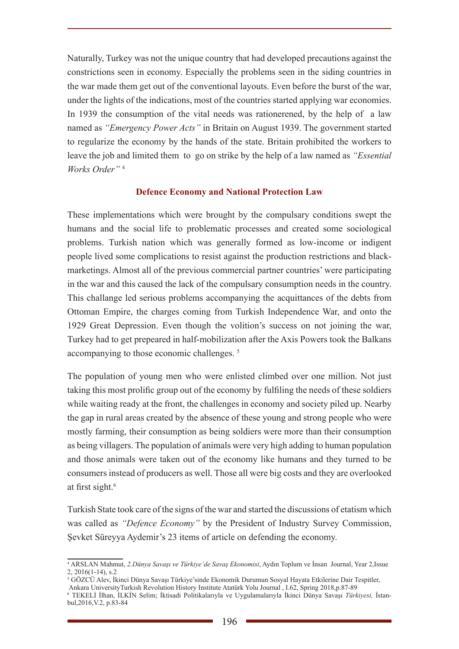Naturally, Turkey was not the unique country that had developed precautions against the constrictions seen in economy. Especially the problems seen in the siding countries in the war made them get out of the conventional layouts. Even before the burst of the war, under the lights of the indications, most of the countries started applying war economies. In 1939 the consumption of the vital needs was rationerened, by the help of a law named as *"Emergency Power Acts"* in Britain on August 1939. The government started to regularize the economy by the hands of the state. Britain prohibited the workers to leave the job and limited them to go on strike by the help of a law named as *"Essential Works Order"* <sup>4</sup>

## **Defence Economy and National Protection Law**

These implementations which were brought by the compulsary conditions swept the humans and the social life to problematic processes and created some sociological problems. Turkish nation which was generally formed as low-income or indigent people lived some complications to resist against the production restrictions and blackmarketings. Almost all of the previous commercial partner countries' were participating in the war and this caused the lack of the compulsary consumption needs in the country. This challange led serious problems accompanying the acquittances of the debts from Ottoman Empire, the charges coming from Turkish Independence War, and onto the 1929 Great Depression. Even though the volition's success on not joining the war, Turkey had to get prepeared in half-mobilization after the Axis Powers took the Balkans accompanying to those economic challenges.<sup>5</sup>

The population of young men who were enlisted climbed over one million. Not just taking this most prolific group out of the economy by fulfiling the needs of these soldiers while waiting ready at the front, the challenges in economy and society piled up. Nearby the gap in rural areas created by the absence of these young and strong people who were mostly farming, their consumption as being soldiers were more than their consumption as being villagers. The population of animals were very high adding to human population and those animals were taken out of the economy like humans and they turned to be consumers instead of producers as well. Those all were big costs and they are overlooked at first sight.<sup>6</sup>

Turkish State took care of the signs of the war and started the discussions of etatism which was called as *"Defence Economy"* by the President of Industry Survey Commission, Şevket Süreyya Aydemir's 23 items of article on defending the economy.

<sup>4</sup> ARSLAN Mahmut, *2.Dünya Savaşı ve Türkiye'de Savaş Ekonomisi*, Aydın Toplum ve İnsan Journal, Year 2,Issue 2, 2016(1-14), s.2

<sup>5</sup> GÖZCÜ Alev, İkinci Dünya Savaşı Türkiye'sinde Ekonomik Durumun Sosyal Hayata Etkilerine Dair Tespitler, Ankara UniversityTurkish Revolution History Institute Atatürk Yolu Journal , I.62, Spring 2018,p.87-89

<sup>6</sup> TEKELİ İlhan, İLKİN Selim; İktisadi Politikalarıyla ve Uygulamalarıyla İkinci Dünya Savaşı *Türkiyesi,* İstanbul,2016,V.2, p.83-84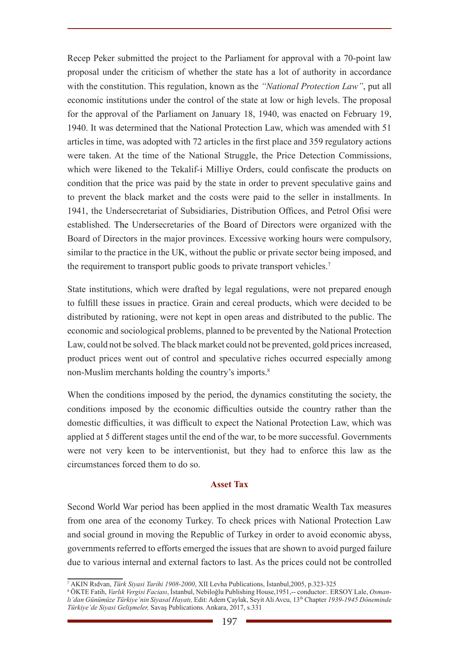Recep Peker submitted the project to the Parliament for approval with a 70-point law proposal under the criticism of whether the state has a lot of authority in accordance with the constitution. This regulation, known as the *"National Protection Law"*, put all economic institutions under the control of the state at low or high levels. The proposal for the approval of the Parliament on January 18, 1940, was enacted on February 19, 1940. It was determined that the National Protection Law, which was amended with 51 articles in time, was adopted with 72 articles in the first place and 359 regulatory actions were taken. At the time of the National Struggle, the Price Detection Commissions, which were likened to the Tekalif-i Milliye Orders, could confiscate the products on condition that the price was paid by the state in order to prevent speculative gains and to prevent the black market and the costs were paid to the seller in installments. In 1941, the Undersecretariat of Subsidiaries, Distribution Offices, and Petrol Ofisi were established. The Undersecretaries of the Board of Directors were organized with the Board of Directors in the major provinces. Excessive working hours were compulsory, similar to the practice in the UK, without the public or private sector being imposed, and the requirement to transport public goods to private transport vehicles.<sup>7</sup>

State institutions, which were drafted by legal regulations, were not prepared enough to fulfill these issues in practice. Grain and cereal products, which were decided to be distributed by rationing, were not kept in open areas and distributed to the public. The economic and sociological problems, planned to be prevented by the National Protection Law, could not be solved. The black market could not be prevented, gold prices increased, product prices went out of control and speculative riches occurred especially among non-Muslim merchants holding the country's imports.<sup>8</sup>

When the conditions imposed by the period, the dynamics constituting the society, the conditions imposed by the economic difficulties outside the country rather than the domestic difficulties, it was difficult to expect the National Protection Law, which was applied at 5 different stages until the end of the war, to be more successful. Governments were not very keen to be interventionist, but they had to enforce this law as the circumstances forced them to do so.

## **Asset Tax**

Second World War period has been applied in the most dramatic Wealth Tax measures from one area of the economy Turkey. To check prices with National Protection Law and social ground in moving the Republic of Turkey in order to avoid economic abyss, governments referred to efforts emerged the issues that are shown to avoid purged failure due to various internal and external factors to last. As the prices could not be controlled

<sup>7</sup> AKIN Rıdvan, *Türk Siyasi Tarihi 1908-2000*, XII Levha Publications, İstanbul,2005, p.323-325

<sup>8</sup> ÖKTE Fatih, *Varlık Vergisi Faciası*, İstanbul, Nebiloğlu Publishing House,1951,-- conductor:. ERSOY Lale, *Osmanlı'dan Günümüze Türkiye'nin Siyasal Hayatı,* Edit: Adem Çaylak, Seyit Ali Avcu, 13th Chapter *1939-1945 Döneminde Türkiye'de Siyasi Gelişmeler,* Savaş Publications. Ankara, 2017, s.331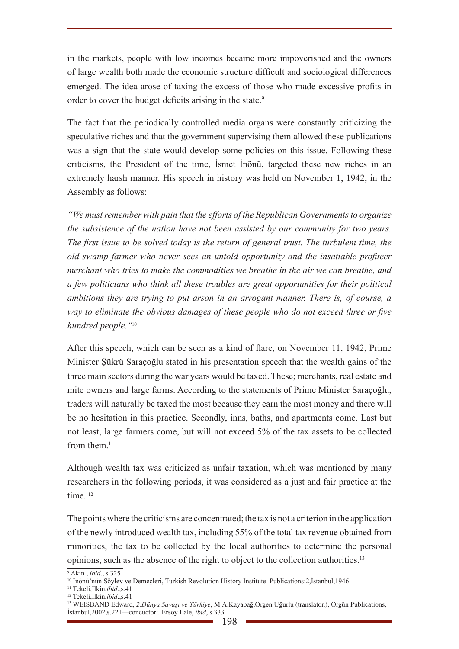in the markets, people with low incomes became more impoverished and the owners of large wealth both made the economic structure difficult and sociological differences emerged. The idea arose of taxing the excess of those who made excessive profits in order to cover the budget deficits arising in the state.<sup>9</sup>

The fact that the periodically controlled media organs were constantly criticizing the speculative riches and that the government supervising them allowed these publications was a sign that the state would develop some policies on this issue. Following these criticisms, the President of the time, İsmet İnönü, targeted these new riches in an extremely harsh manner. His speech in history was held on November 1, 1942, in the Assembly as follows:

*"We must remember with pain that the efforts of the Republican Governments to organize the subsistence of the nation have not been assisted by our community for two years. The first issue to be solved today is the return of general trust. The turbulent time, the old swamp farmer who never sees an untold opportunity and the insatiable profiteer merchant who tries to make the commodities we breathe in the air we can breathe, and a few politicians who think all these troubles are great opportunities for their political ambitions they are trying to put arson in an arrogant manner. There is, of course, a way to eliminate the obvious damages of these people who do not exceed three or five hundred people."*<sup>10</sup>

After this speech, which can be seen as a kind of flare, on November 11, 1942, Prime Minister Şükrü Saraçoğlu stated in his presentation speech that the wealth gains of the three main sectors during the war years would be taxed. These; merchants, real estate and mite owners and large farms. According to the statements of Prime Minister Saraçoğlu, traders will naturally be taxed the most because they earn the most money and there will be no hesitation in this practice. Secondly, inns, baths, and apartments come. Last but not least, large farmers come, but will not exceed 5% of the tax assets to be collected from them $11$ 

Although wealth tax was criticized as unfair taxation, which was mentioned by many researchers in the following periods, it was considered as a just and fair practice at the time<sup>12</sup>

The points where the criticisms are concentrated; the tax is not a criterion in the application of the newly introduced wealth tax, including 55% of the total tax revenue obtained from minorities, the tax to be collected by the local authorities to determine the personal opinions, such as the absence of the right to object to the collection authorities.13

<sup>9</sup> Akın , *ibid*., s.325

<sup>10</sup> İnönü'nün Söylev ve Demeçleri, Turkish Revolution History Institute Publications:2,İstanbul,1946

<sup>11</sup> Tekeli,İlkin,*ibid*.,s.41

<sup>12</sup> Tekeli,İlkin,*ibid*.,s.41

<sup>13</sup> WEISBAND Edward, *2.Dünya Savaşı ve Türkiye*, M.A.Kayabağ,Örgen Uğurlu (translator.), Örgün Publications, İstanbul,2002,s.221—concuctor:. Ersoy Lale, *ibid*, s.333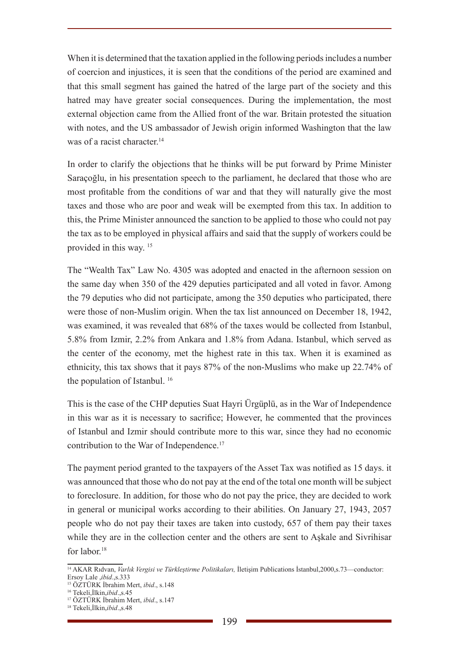When it is determined that the taxation applied in the following periods includes a number of coercion and injustices, it is seen that the conditions of the period are examined and that this small segment has gained the hatred of the large part of the society and this hatred may have greater social consequences. During the implementation, the most external objection came from the Allied front of the war. Britain protested the situation with notes, and the US ambassador of Jewish origin informed Washington that the law was of a racist character.<sup>14</sup>

In order to clarify the objections that he thinks will be put forward by Prime Minister Saraçoğlu, in his presentation speech to the parliament, he declared that those who are most profitable from the conditions of war and that they will naturally give the most taxes and those who are poor and weak will be exempted from this tax. In addition to this, the Prime Minister announced the sanction to be applied to those who could not pay the tax as to be employed in physical affairs and said that the supply of workers could be provided in this way. 15

The "Wealth Tax" Law No. 4305 was adopted and enacted in the afternoon session on the same day when 350 of the 429 deputies participated and all voted in favor. Among the 79 deputies who did not participate, among the 350 deputies who participated, there were those of non-Muslim origin. When the tax list announced on December 18, 1942, was examined, it was revealed that 68% of the taxes would be collected from Istanbul, 5.8% from Izmir, 2.2% from Ankara and 1.8% from Adana. Istanbul, which served as the center of the economy, met the highest rate in this tax. When it is examined as ethnicity, this tax shows that it pays 87% of the non-Muslims who make up 22.74% of the population of Istanbul. <sup>16</sup>

This is the case of the CHP deputies Suat Hayri Ürgüplü, as in the War of Independence in this war as it is necessary to sacrifice; However, he commented that the provinces of Istanbul and Izmir should contribute more to this war, since they had no economic contribution to the War of Independence.<sup>17</sup>

The payment period granted to the taxpayers of the Asset Tax was notified as 15 days. it was announced that those who do not pay at the end of the total one month will be subject to foreclosure. In addition, for those who do not pay the price, they are decided to work in general or municipal works according to their abilities. On January 27, 1943, 2057 people who do not pay their taxes are taken into custody, 657 of them pay their taxes while they are in the collection center and the others are sent to Aşkale and Sivrihisar for labor.<sup>18</sup>

<sup>14</sup> AKAR Rıdvan, *Varlık Vergisi ve Türkleştirme Politikaları,* İletişim Publications İstanbul,2000,s.73—conductor: Ersoy Lale ,*ibid*.,s.333

<sup>15</sup> ÖZTÜRK İbrahim Mert, *ibid*., s.148

<sup>16</sup> Tekeli,İlkin,*ibid*.,s.45

<sup>17</sup> ÖZTÜRK İbrahim Mert, *ibid*., s.147

<sup>18</sup> Tekeli,İlkin,*ibid*.,s.48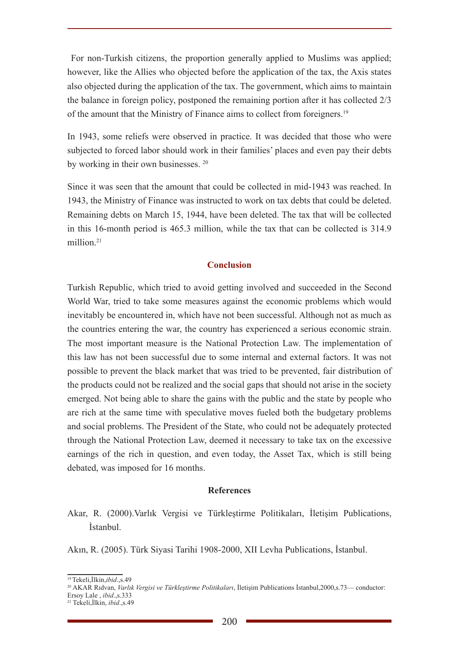For non-Turkish citizens, the proportion generally applied to Muslims was applied: however, like the Allies who objected before the application of the tax, the Axis states also objected during the application of the tax. The government, which aims to maintain the balance in foreign policy, postponed the remaining portion after it has collected 2/3 of the amount that the Ministry of Finance aims to collect from foreigners.19

In 1943, some reliefs were observed in practice. It was decided that those who were subjected to forced labor should work in their families' places and even pay their debts by working in their own businesses. <sup>20</sup>

Since it was seen that the amount that could be collected in mid-1943 was reached. In 1943, the Ministry of Finance was instructed to work on tax debts that could be deleted. Remaining debts on March 15, 1944, have been deleted. The tax that will be collected in this 16-month period is 465.3 million, while the tax that can be collected is 314.9 million<sup>21</sup>

#### **Conclusion**

Turkish Republic, which tried to avoid getting involved and succeeded in the Second World War, tried to take some measures against the economic problems which would inevitably be encountered in, which have not been successful. Although not as much as the countries entering the war, the country has experienced a serious economic strain. The most important measure is the National Protection Law. The implementation of this law has not been successful due to some internal and external factors. It was not possible to prevent the black market that was tried to be prevented, fair distribution of the products could not be realized and the social gaps that should not arise in the society emerged. Not being able to share the gains with the public and the state by people who are rich at the same time with speculative moves fueled both the budgetary problems and social problems. The President of the State, who could not be adequately protected through the National Protection Law, deemed it necessary to take tax on the excessive earnings of the rich in question, and even today, the Asset Tax, which is still being debated, was imposed for 16 months.

#### **References**

Akar, R. (2000).Varlık Vergisi ve Türkleştirme Politikaları, İletişim Publications, İstanbul.

Akın, R. (2005). Türk Siyasi Tarihi 1908-2000, XII Levha Publications, İstanbul.

<sup>19</sup>Tekeli,İlkin,*ibid*.,s.49

<sup>20</sup> AKAR Rıdvan, *Varlık Vergisi ve Türkleştirme Politikaları*, İletişim Publications İstanbul,2000,s.73— conductor:

Ersoy Lale , *ibid*.,s.333

<sup>21</sup> Tekeli,İlkin, *ibid*.,s.49